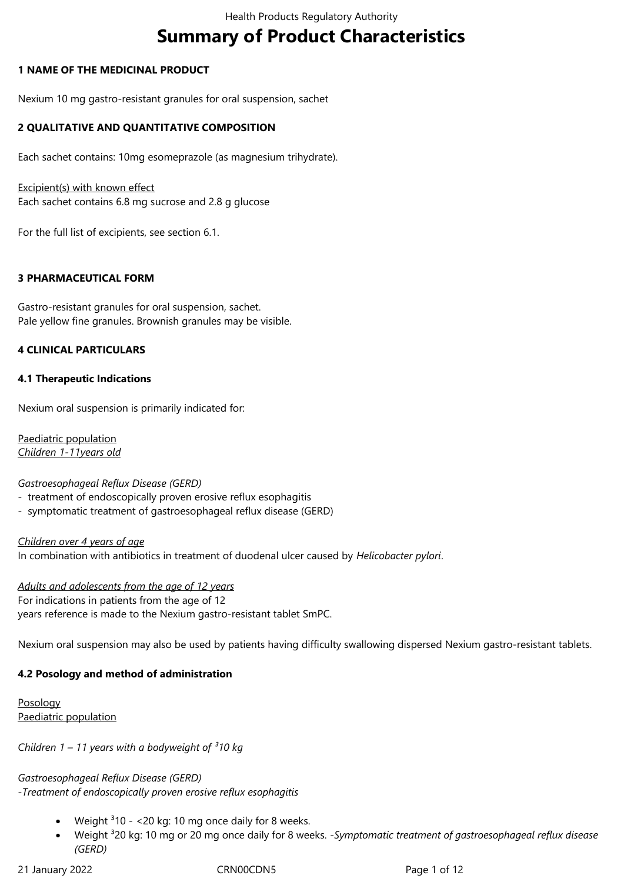# **Summary of Product Characteristics**

## **1 NAME OF THE MEDICINAL PRODUCT**

Nexium 10 mg gastro-resistant granules for oral suspension, sachet

## **2 QUALITATIVE AND QUANTITATIVE COMPOSITION**

Each sachet contains: 10mg esomeprazole (as magnesium trihydrate).

Excipient(s) with known effect Each sachet contains 6.8 mg sucrose and 2.8 g glucose

For the full list of excipients, see section 6.1.

## **3 PHARMACEUTICAL FORM**

Gastro-resistant granules for oral suspension, sachet. Pale yellow fine granules. Brownish granules may be visible.

## **4 CLINICAL PARTICULARS**

## **4.1 Therapeutic Indications**

Nexium oral suspension is primarily indicated for:

Paediatric population *Children 1-11years old*

## *Gastroesophageal Reflux Disease (GERD)*

- treatment of endoscopically proven erosive reflux esophagitis
- symptomatic treatment of gastroesophageal reflux disease (GERD)

*Children over 4 years of age* In combination with antibiotics in treatment of duodenal ulcer caused by *Helicobacter pylori*.

*Adults and adolescents from the age of 12 years* For indications in patients from the age of 12 years reference is made to the Nexium gastro-resistant tablet SmPC.

Nexium oral suspension may also be used by patients having difficulty swallowing dispersed Nexium gastro-resistant tablets.

# **4.2 Posology and method of administration**

Posology Paediatric population

*Children 1 – 11 years with a bodyweight of ³10 kg*

*Gastroesophageal Reflux Disease (GERD) -Treatment of endoscopically proven erosive reflux esophagitis*

- Weight  $310 20$  kg: 10 mg once daily for 8 weeks.
- Weight <sup>3</sup>20 kg: 10 mg or 20 mg once daily for 8 weeks. *-Symptomatic treatment of gastroesophageal reflux disease (GERD)*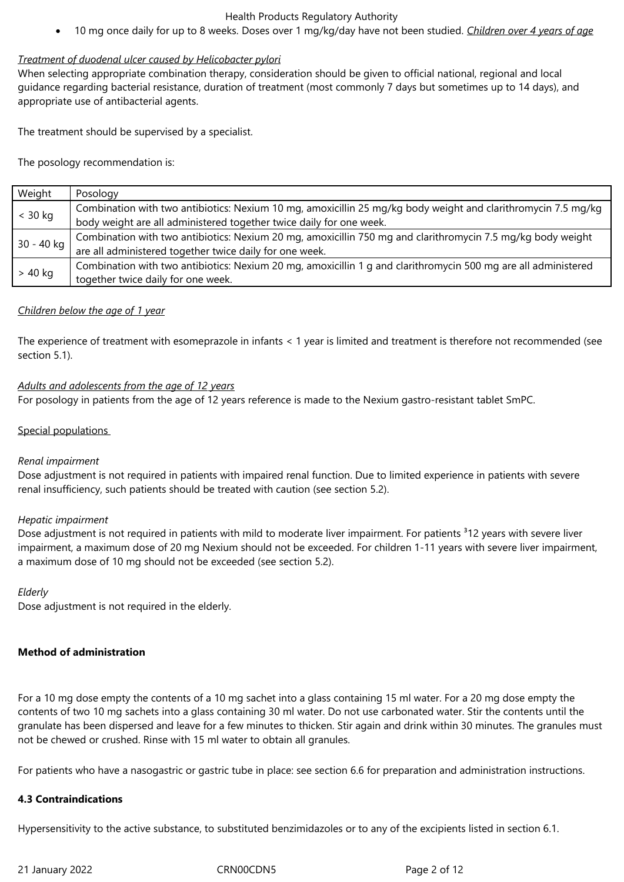10 mg once daily for up to 8 weeks. Doses over 1 mg/kg/day have not been studied. *Children over 4 years of age*

## *Treatment of duodenal ulcer caused by Helicobacter pylori*

When selecting appropriate combination therapy, consideration should be given to official national, regional and local guidance regarding bacterial resistance, duration of treatment (most commonly 7 days but sometimes up to 14 days), and appropriate use of antibacterial agents.

The treatment should be supervised by a specialist.

The posology recommendation is:

| Weight     | Posology                                                                                                       |
|------------|----------------------------------------------------------------------------------------------------------------|
| $<$ 30 kg  | Combination with two antibiotics: Nexium 10 mg, amoxicillin 25 mg/kg body weight and clarithromycin 7.5 mg/kg  |
|            | body weight are all administered together twice daily for one week.                                            |
| 30 - 40 kg | Combination with two antibiotics: Nexium 20 mg, amoxicillin 750 mg and clarithromycin 7.5 mg/kg body weight    |
|            | are all administered together twice daily for one week.                                                        |
| $> 40$ kg  | Combination with two antibiotics: Nexium 20 mg, amoxicillin 1 g and clarithromycin 500 mg are all administered |
|            | together twice daily for one week.                                                                             |

## *Children below the age of 1 year*

The experience of treatment with esomeprazole in infants < 1 year is limited and treatment is therefore not recommended (see section 5.1).

## *Adults and adolescents from the age of 12 years*

For posology in patients from the age of 12 years reference is made to the Nexium gastro-resistant tablet SmPC.

## Special populations

## *Renal impairment*

Dose adjustment is not required in patients with impaired renal function. Due to limited experience in patients with severe renal insufficiency, such patients should be treated with caution (see section 5.2).

## *Hepatic impairment*

Dose adjustment is not required in patients with mild to moderate liver impairment. For patients <sup>3</sup>12 years with severe liver impairment, a maximum dose of 20 mg Nexium should not be exceeded. For children 1-11 years with severe liver impairment, a maximum dose of 10 mg should not be exceeded (see section 5.2).

## *Elderly*

Dose adjustment is not required in the elderly.

# **Method of administration**

For a 10 mg dose empty the contents of a 10 mg sachet into a glass containing 15 ml water. For a 20 mg dose empty the contents of two 10 mg sachets into a glass containing 30 ml water. Do not use carbonated water. Stir the contents until the granulate has been dispersed and leave for a few minutes to thicken. Stir again and drink within 30 minutes. The granules must not be chewed or crushed. Rinse with 15 ml water to obtain all granules.

For patients who have a nasogastric or gastric tube in place: see section 6.6 for preparation and administration instructions.

# **4.3 Contraindications**

Hypersensitivity to the active substance, to substituted benzimidazoles or to any of the excipients listed in section 6.1.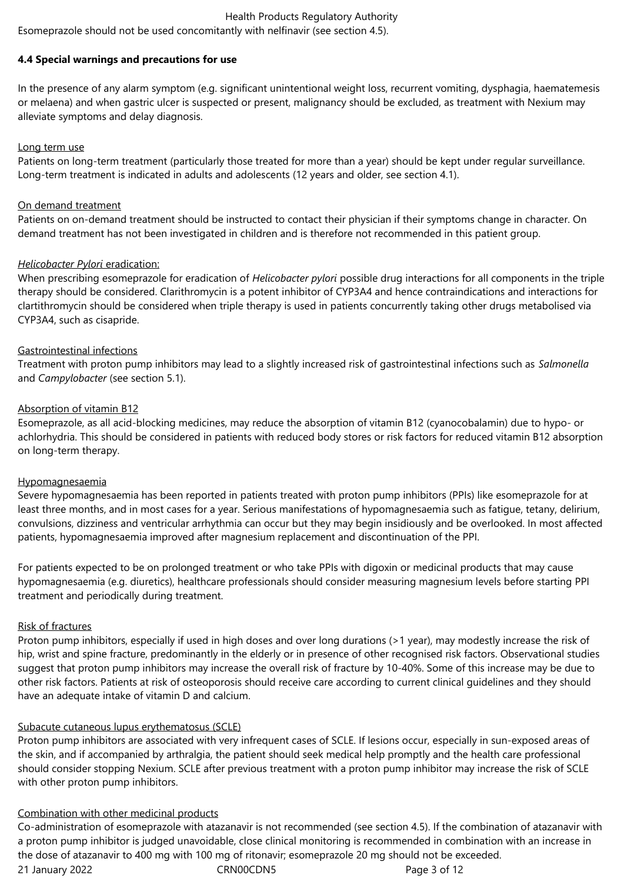Esomeprazole should not be used concomitantly with nelfinavir (see section 4.5).

## **4.4 Special warnings and precautions for use**

In the presence of any alarm symptom (e.g. significant unintentional weight loss, recurrent vomiting, dysphagia, haematemesis or melaena) and when gastric ulcer is suspected or present, malignancy should be excluded, as treatment with Nexium may alleviate symptoms and delay diagnosis.

## Long term use

Patients on long-term treatment (particularly those treated for more than a year) should be kept under regular surveillance. Long-term treatment is indicated in adults and adolescents (12 years and older, see section 4.1).

## On demand treatment

Patients on on-demand treatment should be instructed to contact their physician if their symptoms change in character. On demand treatment has not been investigated in children and is therefore not recommended in this patient group.

## *Helicobacter Pylori* eradication:

When prescribing esomeprazole for eradication of *Helicobacter pylori* possible drug interactions for all components in the triple therapy should be considered. Clarithromycin is a potent inhibitor of CYP3A4 and hence contraindications and interactions for clartithromycin should be considered when triple therapy is used in patients concurrently taking other drugs metabolised via CYP3A4, such as cisapride.

## Gastrointestinal infections

Treatment with proton pump inhibitors may lead to a slightly increased risk of gastrointestinal infections such as *Salmonella* and *Campylobacter* (see section 5.1).

## Absorption of vitamin B12

Esomeprazole, as all acid-blocking medicines, may reduce the absorption of vitamin B12 (cyanocobalamin) due to hypo- or achlorhydria. This should be considered in patients with reduced body stores or risk factors for reduced vitamin B12 absorption on long‑term therapy.

## Hypomagnesaemia

Severe hypomagnesaemia has been reported in patients treated with proton pump inhibitors (PPIs) like esomeprazole for at least three months, and in most cases for a year. Serious manifestations of hypomagnesaemia such as fatigue, tetany, delirium, convulsions, dizziness and ventricular arrhythmia can occur but they may begin insidiously and be overlooked. In most affected patients, hypomagnesaemia improved after magnesium replacement and discontinuation of the PPI.

For patients expected to be on prolonged treatment or who take PPIs with digoxin or medicinal products that may cause hypomagnesaemia (e.g. diuretics), healthcare professionals should consider measuring magnesium levels before starting PPI treatment and periodically during treatment.

## Risk of fractures

Proton pump inhibitors, especially if used in high doses and over long durations (>1 year), may modestly increase the risk of hip, wrist and spine fracture, predominantly in the elderly or in presence of other recognised risk factors. Observational studies suggest that proton pump inhibitors may increase the overall risk of fracture by 10-40%. Some of this increase may be due to other risk factors. Patients at risk of osteoporosis should receive care according to current clinical guidelines and they should have an adequate intake of vitamin D and calcium.

## Subacute cutaneous lupus erythematosus (SCLE)

Proton pump inhibitors are associated with very infrequent cases of SCLE. If lesions occur, especially in sun-exposed areas of the skin, and if accompanied by arthralgia, the patient should seek medical help promptly and the health care professional should consider stopping Nexium. SCLE after previous treatment with a proton pump inhibitor may increase the risk of SCLE with other proton pump inhibitors.

## Combination with other medicinal products

21 January 2022 CRN00CDN5 Page 3 of 12 Co-administration of esomeprazole with atazanavir is not recommended (see section 4.5). If the combination of atazanavir with a proton pump inhibitor is judged unavoidable, close clinical monitoring is recommended in combination with an increase in the dose of atazanavir to 400 mg with 100 mg of ritonavir; esomeprazole 20 mg should not be exceeded.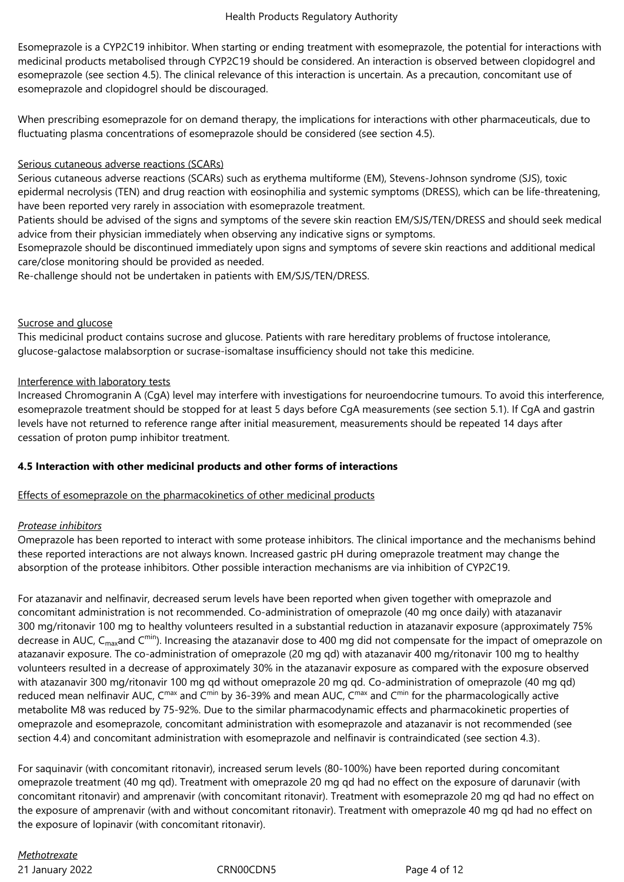Esomeprazole is a CYP2C19 inhibitor. When starting or ending treatment with esomeprazole, the potential for interactions with medicinal products metabolised through CYP2C19 should be considered. An interaction is observed between clopidogrel and esomeprazole (see section 4.5). The clinical relevance of this interaction is uncertain. As a precaution, concomitant use of esomeprazole and clopidogrel should be discouraged.

When prescribing esomeprazole for on demand therapy, the implications for interactions with other pharmaceuticals, due to fluctuating plasma concentrations of esomeprazole should be considered (see section 4.5).

# Serious cutaneous adverse reactions (SCARs)

Serious cutaneous adverse reactions (SCARs) such as erythema multiforme (EM), Stevens-Johnson syndrome (SJS), toxic epidermal necrolysis (TEN) and drug reaction with eosinophilia and systemic symptoms (DRESS), which can be life-threatening, have been reported very rarely in association with esomeprazole treatment.

Patients should be advised of the signs and symptoms of the severe skin reaction EM/SJS/TEN/DRESS and should seek medical advice from their physician immediately when observing any indicative signs or symptoms.

Esomeprazole should be discontinued immediately upon signs and symptoms of severe skin reactions and additional medical care/close monitoring should be provided as needed.

Re-challenge should not be undertaken in patients with EM/SJS/TEN/DRESS.

## Sucrose and glucose

This medicinal product contains sucrose and glucose. Patients with rare hereditary problems of fructose intolerance, glucose-galactose malabsorption or sucrase-isomaltase insufficiency should not take this medicine.

## Interference with laboratory tests

Increased Chromogranin A (CgA) level may interfere with investigations for neuroendocrine tumours. To avoid this interference, esomeprazole treatment should be stopped for at least 5 days before CgA measurements (see section 5.1). If CgA and gastrin levels have not returned to reference range after initial measurement, measurements should be repeated 14 days after cessation of proton pump inhibitor treatment.

# **4.5 Interaction with other medicinal products and other forms of interactions**

# Effects of esomeprazole on the pharmacokinetics of other medicinal products

# *Protease inhibitors*

Omeprazole has been reported to interact with some protease inhibitors. The clinical importance and the mechanisms behind these reported interactions are not always known. Increased gastric pH during omeprazole treatment may change the absorption of the protease inhibitors. Other possible interaction mechanisms are via inhibition of CYP2C19.

For atazanavir and nelfinavir, decreased serum levels have been reported when given together with omeprazole and concomitant administration is not recommended. Co-administration of omeprazole (40 mg once daily) with atazanavir 300 mg/ritonavir 100 mg to healthy volunteers resulted in a substantial reduction in atazanavir exposure (approximately 75% decrease in AUC,  $C_{max}$ and  $C^{min}$ ). Increasing the atazanavir dose to 400 mg did not compensate for the impact of omeprazole on atazanavir exposure. The co-administration of omeprazole (20 mg qd) with atazanavir 400 mg/ritonavir 100 mg to healthy volunteers resulted in a decrease of approximately 30% in the atazanavir exposure as compared with the exposure observed with atazanavir 300 mg/ritonavir 100 mg qd without omeprazole 20 mg qd. Co-administration of omeprazole (40 mg qd) reduced mean nelfinavir AUC, C<sup>max</sup> and C<sup>min</sup> by 36-39% and mean AUC, C<sup>max</sup> and C<sup>min</sup> for the pharmacologically active metabolite M8 was reduced by 75-92%. Due to the similar pharmacodynamic effects and pharmacokinetic properties of omeprazole and esomeprazole, concomitant administration with esomeprazole and atazanavir is not recommended (see section 4.4) and concomitant administration with esomeprazole and nelfinavir is contraindicated (see section 4.3).

For saquinavir (with concomitant ritonavir), increased serum levels (80-100%) have been reported during concomitant omeprazole treatment (40 mg qd). Treatment with omeprazole 20 mg qd had no effect on the exposure of darunavir (with concomitant ritonavir) and amprenavir (with concomitant ritonavir). Treatment with esomeprazole 20 mg qd had no effect on the exposure of amprenavir (with and without concomitant ritonavir). Treatment with omeprazole 40 mg qd had no effect on the exposure of lopinavir (with concomitant ritonavir).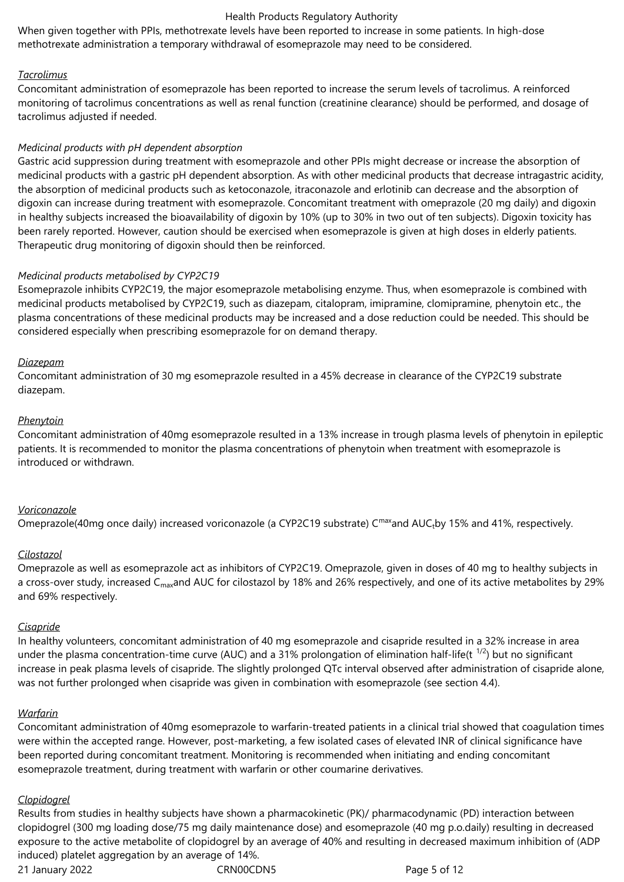When given together with PPIs, methotrexate levels have been reported to increase in some patients. In high-dose methotrexate administration a temporary withdrawal of esomeprazole may need to be considered.

## *Tacrolimus*

Concomitant administration of esomeprazole has been reported to increase the serum levels of tacrolimus. A reinforced monitoring of tacrolimus concentrations as well as renal function (creatinine clearance) should be performed, and dosage of tacrolimus adjusted if needed.

#### *Medicinal products with pH dependent absorption*

Gastric acid suppression during treatment with esomeprazole and other PPIs might decrease or increase the absorption of medicinal products with a gastric pH dependent absorption. As with other medicinal products that decrease intragastric acidity, the absorption of medicinal products such as ketoconazole, itraconazole and erlotinib can decrease and the absorption of digoxin can increase during treatment with esomeprazole. Concomitant treatment with omeprazole (20 mg daily) and digoxin in healthy subjects increased the bioavailability of digoxin by 10% (up to 30% in two out of ten subjects). Digoxin toxicity has been rarely reported. However, caution should be exercised when esomeprazole is given at high doses in elderly patients. Therapeutic drug monitoring of digoxin should then be reinforced.

## *Medicinal products metabolised by CYP2C19*

Esomeprazole inhibits CYP2C19, the major esomeprazole metabolising enzyme. Thus, when esomeprazole is combined with medicinal products metabolised by CYP2C19, such as diazepam, citalopram, imipramine, clomipramine, phenytoin etc., the plasma concentrations of these medicinal products may be increased and a dose reduction could be needed. This should be considered especially when prescribing esomeprazole for on demand therapy.

#### *Diazepam*

Concomitant administration of 30 mg esomeprazole resulted in a 45% decrease in clearance of the CYP2C19 substrate diazepam.

#### *Phenytoin*

Concomitant administration of 40mg esomeprazole resulted in a 13% increase in trough plasma levels of phenytoin in epileptic patients. It is recommended to monitor the plasma concentrations of phenytoin when treatment with esomeprazole is introduced or withdrawn.

#### *Voriconazole*

Omeprazole(40mg once daily) increased voriconazole (a CYP2C19 substrate) C<sup>max</sup>and AUC<sub>t</sub>by 15% and 41%, respectively.

#### *Cilostazol*

Omeprazole as well as esomeprazole act as inhibitors of CYP2C19. Omeprazole, given in doses of 40 mg to healthy subjects in a cross-over study, increased C<sub>max</sub>and AUC for cilostazol by 18% and 26% respectively, and one of its active metabolites by 29% and 69% respectively.

## *Cisapride*

In healthy volunteers, concomitant administration of 40 mg esomeprazole and cisapride resulted in a 32% increase in area under the plasma concentration-time curve (AUC) and a 31% prolongation of elimination half-life(t  $^{1/2}$ ) but no significant increase in peak plasma levels of cisapride. The slightly prolonged QTc interval observed after administration of cisapride alone, was not further prolonged when cisapride was given in combination with esomeprazole (see section 4.4).

#### *Warfarin*

Concomitant administration of 40mg esomeprazole to warfarin-treated patients in a clinical trial showed that coagulation times were within the accepted range. However, post-marketing, a few isolated cases of elevated INR of clinical significance have been reported during concomitant treatment. Monitoring is recommended when initiating and ending concomitant esomeprazole treatment, during treatment with warfarin or other coumarine derivatives.

#### *Clopidogrel*

21 January 2022 CRN00CDN5 Page 5 of 12 Results from studies in healthy subjects have shown a pharmacokinetic (PK)/ pharmacodynamic (PD) interaction between clopidogrel (300 mg loading dose/75 mg daily maintenance dose) and esomeprazole (40 mg p.o.daily) resulting in decreased exposure to the active metabolite of clopidogrel by an average of 40% and resulting in decreased maximum inhibition of (ADP induced) platelet aggregation by an average of 14%.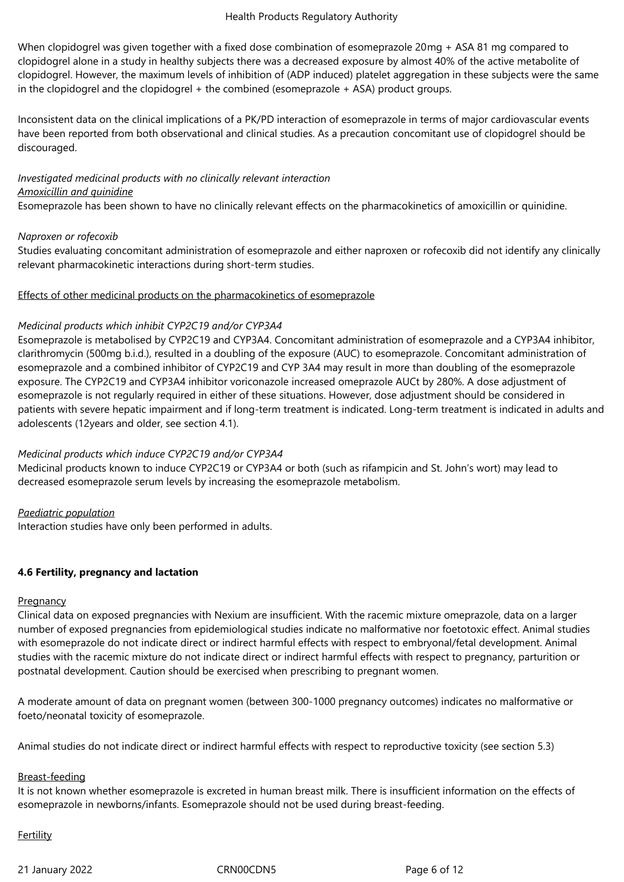When clopidogrel was given together with a fixed dose combination of esomeprazole 20mg + ASA 81 mg compared to clopidogrel alone in a study in healthy subjects there was a decreased exposure by almost 40% of the active metabolite of clopidogrel. However, the maximum levels of inhibition of (ADP induced) platelet aggregation in these subjects were the same in the clopidogrel and the clopidogrel + the combined (esomeprazole + ASA) product groups.

Inconsistent data on the clinical implications of a PK/PD interaction of esomeprazole in terms of major cardiovascular events have been reported from both observational and clinical studies. As a precaution concomitant use of clopidogrel should be discouraged.

# *Investigated medicinal products with no clinically relevant interaction Amoxicillin and quinidine*

Esomeprazole has been shown to have no clinically relevant effects on the pharmacokinetics of amoxicillin or quinidine.

## *Naproxen or rofecoxib*

Studies evaluating concomitant administration of esomeprazole and either naproxen or rofecoxib did not identify any clinically relevant pharmacokinetic interactions during short-term studies.

## Effects of other medicinal products on the pharmacokinetics of esomeprazole

## *Medicinal products which inhibit CYP2C19 and/or CYP3A4*

Esomeprazole is metabolised by CYP2C19 and CYP3A4. Concomitant administration of esomeprazole and a CYP3A4 inhibitor, clarithromycin (500mg b.i.d.), resulted in a doubling of the exposure (AUC) to esomeprazole. Concomitant administration of esomeprazole and a combined inhibitor of CYP2C19 and CYP 3A4 may result in more than doubling of the esomeprazole exposure. The CYP2C19 and CYP3A4 inhibitor voriconazole increased omeprazole AUCt by 280%. A dose adjustment of esomeprazole is not regularly required in either of these situations. However, dose adjustment should be considered in patients with severe hepatic impairment and if long-term treatment is indicated. Long-term treatment is indicated in adults and adolescents (12years and older, see section 4.1).

# *Medicinal products which induce CYP2C19 and/or CYP3A4*

Medicinal products known to induce CYP2C19 or CYP3A4 or both (such as rifampicin and St. John's wort) may lead to decreased esomeprazole serum levels by increasing the esomeprazole metabolism.

# *Paediatric population*

Interaction studies have only been performed in adults.

# **4.6 Fertility, pregnancy and lactation**

## **Pregnancy**

Clinical data on exposed pregnancies with Nexium are insufficient. With the racemic mixture omeprazole, data on a larger number of exposed pregnancies from epidemiological studies indicate no malformative nor foetotoxic effect. Animal studies with esomeprazole do not indicate direct or indirect harmful effects with respect to embryonal/fetal development. Animal studies with the racemic mixture do not indicate direct or indirect harmful effects with respect to pregnancy, parturition or postnatal development. Caution should be exercised when prescribing to pregnant women.

A moderate amount of data on pregnant women (between 300-1000 pregnancy outcomes) indicates no malformative or foeto/neonatal toxicity of esomeprazole.

Animal studies do not indicate direct or indirect harmful effects with respect to reproductive toxicity (see section 5.3)

## Breast-feeding

It is not known whether esomeprazole is excreted in human breast milk. There is insufficient information on the effects of esomeprazole in newborns/infants. Esomeprazole should not be used during breast-feeding.

## **Fertility**

21 January 2022 CRN00CDN5 Page 6 of 12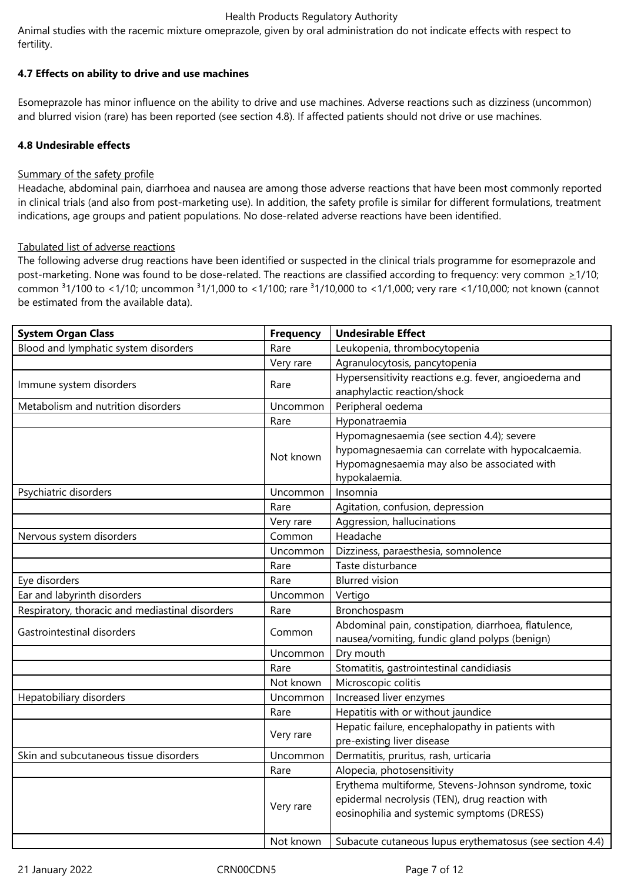Animal studies with the racemic mixture omeprazole, given by oral administration do not indicate effects with respect to fertility.

## **4.7 Effects on ability to drive and use machines**

Esomeprazole has minor influence on the ability to drive and use machines. Adverse reactions such as dizziness (uncommon) and blurred vision (rare) has been reported (see section 4.8). If affected patients should not drive or use machines.

## **4.8 Undesirable effects**

## Summary of the safety profile

Headache, abdominal pain, diarrhoea and nausea are among those adverse reactions that have been most commonly reported in clinical trials (and also from post-marketing use). In addition, the safety profile is similar for different formulations, treatment indications, age groups and patient populations. No dose-related adverse reactions have been identified.

## Tabulated list of adverse reactions

The following adverse drug reactions have been identified or suspected in the clinical trials programme for esomeprazole and post-marketing. None was found to be dose-related. The reactions are classified according to frequency: very common  $\geq 1/10$ ; common <sup>3</sup>1/100 to <1/10; uncommon <sup>3</sup>1/1,000 to <1/100; rare <sup>3</sup>1/10,000 to <1/1,000; very rare <1/10,000; not known (cannot be estimated from the available data).

| <b>System Organ Class</b>                       | <b>Frequency</b> | <b>Undesirable Effect</b>                                |
|-------------------------------------------------|------------------|----------------------------------------------------------|
| Blood and lymphatic system disorders            | Rare             | Leukopenia, thrombocytopenia                             |
|                                                 | Very rare        | Agranulocytosis, pancytopenia                            |
|                                                 | Rare             | Hypersensitivity reactions e.g. fever, angioedema and    |
| Immune system disorders                         |                  | anaphylactic reaction/shock                              |
| Metabolism and nutrition disorders              | Uncommon         | Peripheral oedema                                        |
|                                                 | Rare             | Hyponatraemia                                            |
|                                                 | Not known        | Hypomagnesaemia (see section 4.4); severe                |
|                                                 |                  | hypomagnesaemia can correlate with hypocalcaemia.        |
|                                                 |                  | Hypomagnesaemia may also be associated with              |
|                                                 |                  | hypokalaemia.                                            |
| Psychiatric disorders                           | Uncommon         | Insomnia                                                 |
|                                                 | Rare             | Agitation, confusion, depression                         |
|                                                 | Very rare        | Aggression, hallucinations                               |
| Nervous system disorders                        | Common           | Headache                                                 |
|                                                 | Uncommon         | Dizziness, paraesthesia, somnolence                      |
|                                                 | Rare             | Taste disturbance                                        |
| Eye disorders                                   | Rare             | <b>Blurred vision</b>                                    |
| Ear and labyrinth disorders                     | Uncommon         | Vertigo                                                  |
| Respiratory, thoracic and mediastinal disorders | Rare             | Bronchospasm                                             |
| Gastrointestinal disorders                      | Common           | Abdominal pain, constipation, diarrhoea, flatulence,     |
|                                                 |                  | nausea/vomiting, fundic gland polyps (benign)            |
|                                                 | Uncommon         | Dry mouth                                                |
|                                                 | Rare             | Stomatitis, gastrointestinal candidiasis                 |
|                                                 | Not known        | Microscopic colitis                                      |
| Hepatobiliary disorders                         | Uncommon         | Increased liver enzymes                                  |
|                                                 | Rare             | Hepatitis with or without jaundice                       |
|                                                 | Very rare        | Hepatic failure, encephalopathy in patients with         |
|                                                 |                  | pre-existing liver disease                               |
| Skin and subcutaneous tissue disorders          | Uncommon         | Dermatitis, pruritus, rash, urticaria                    |
|                                                 | Rare             | Alopecia, photosensitivity                               |
|                                                 | Very rare        | Erythema multiforme, Stevens-Johnson syndrome, toxic     |
|                                                 |                  | epidermal necrolysis (TEN), drug reaction with           |
|                                                 |                  | eosinophilia and systemic symptoms (DRESS)               |
|                                                 |                  |                                                          |
|                                                 | Not known        | Subacute cutaneous lupus erythematosus (see section 4.4) |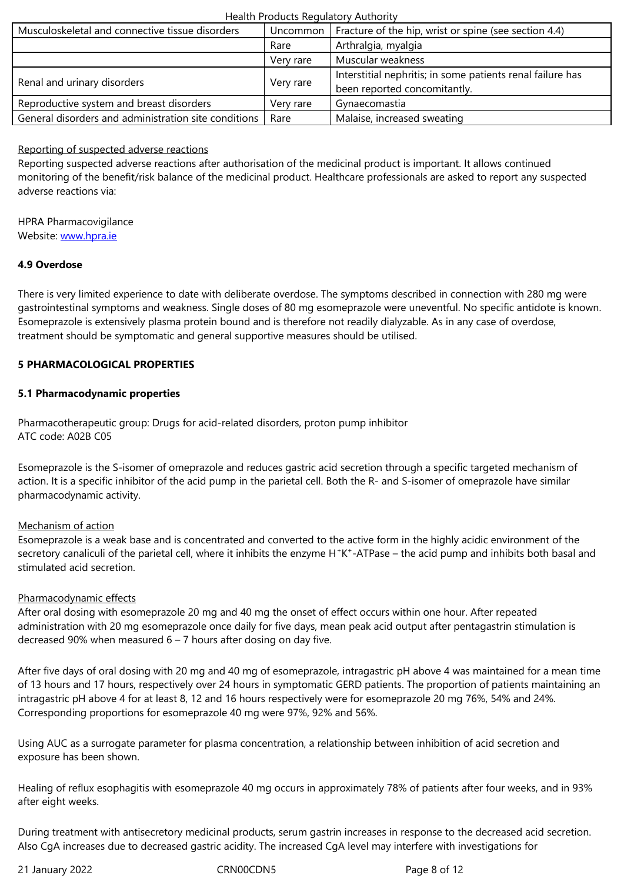|                                                      | Verv rare | Muscular weakness                                          |
|------------------------------------------------------|-----------|------------------------------------------------------------|
| Renal and urinary disorders                          | Very rare | Interstitial nephritis; in some patients renal failure has |
|                                                      |           | been reported concomitantly.                               |
| Reproductive system and breast disorders             | Verv rare | Gynaecomastia                                              |
| General disorders and administration site conditions | Rare      | Malaise, increased sweating                                |

## Reporting of suspected adverse reactions

Reporting suspected adverse reactions after authorisation of the medicinal product is important. It allows continued monitoring of the benefit/risk balance of the medicinal product. Healthcare professionals are asked to report any suspected adverse reactions via:

HPRA Pharmacovigilance Website: www.hpra.ie

## **4.9 Overdose**

There is [very limited e](http://www.hpra.ie/)xperience to date with deliberate overdose. The symptoms described in connection with 280 mg were gastrointestinal symptoms and weakness. Single doses of 80 mg esomeprazole were uneventful. No specific antidote is known. Esomeprazole is extensively plasma protein bound and is therefore not readily dialyzable. As in any case of overdose, treatment should be symptomatic and general supportive measures should be utilised.

## **5 PHARMACOLOGICAL PROPERTIES**

## **5.1 Pharmacodynamic properties**

Pharmacotherapeutic group: Drugs for acid-related disorders, proton pump inhibitor ATC code: A02B C05

Esomeprazole is the S-isomer of omeprazole and reduces gastric acid secretion through a specific targeted mechanism of action. It is a specific inhibitor of the acid pump in the parietal cell. Both the R- and S-isomer of omeprazole have similar pharmacodynamic activity.

## Mechanism of action

Esomeprazole is a weak base and is concentrated and converted to the active form in the highly acidic environment of the secretory canaliculi of the parietal cell, where it inhibits the enzyme H<sup>+</sup>K<sup>+</sup>-ATPase – the acid pump and inhibits both basal and stimulated acid secretion.

## Pharmacodynamic effects

After oral dosing with esomeprazole 20 mg and 40 mg the onset of effect occurs within one hour. After repeated administration with 20 mg esomeprazole once daily for five days, mean peak acid output after pentagastrin stimulation is decreased 90% when measured  $6 - 7$  hours after dosing on day five.

After five days of oral dosing with 20 mg and 40 mg of esomeprazole, intragastric pH above 4 was maintained for a mean time of 13 hours and 17 hours, respectively over 24 hours in symptomatic GERD patients. The proportion of patients maintaining an intragastric pH above 4 for at least 8, 12 and 16 hours respectively were for esomeprazole 20 mg 76%, 54% and 24%. Corresponding proportions for esomeprazole 40 mg were 97%, 92% and 56%.

Using AUC as a surrogate parameter for plasma concentration, a relationship between inhibition of acid secretion and exposure has been shown.

Healing of reflux esophagitis with esomeprazole 40 mg occurs in approximately 78% of patients after four weeks, and in 93% after eight weeks.

During treatment with antisecretory medicinal products, serum gastrin increases in response to the decreased acid secretion. Also CgA increases due to decreased gastric acidity. The increased CgA level may interfere with investigations for

21 January 2022 CRN00CDN5 Page 8 of 12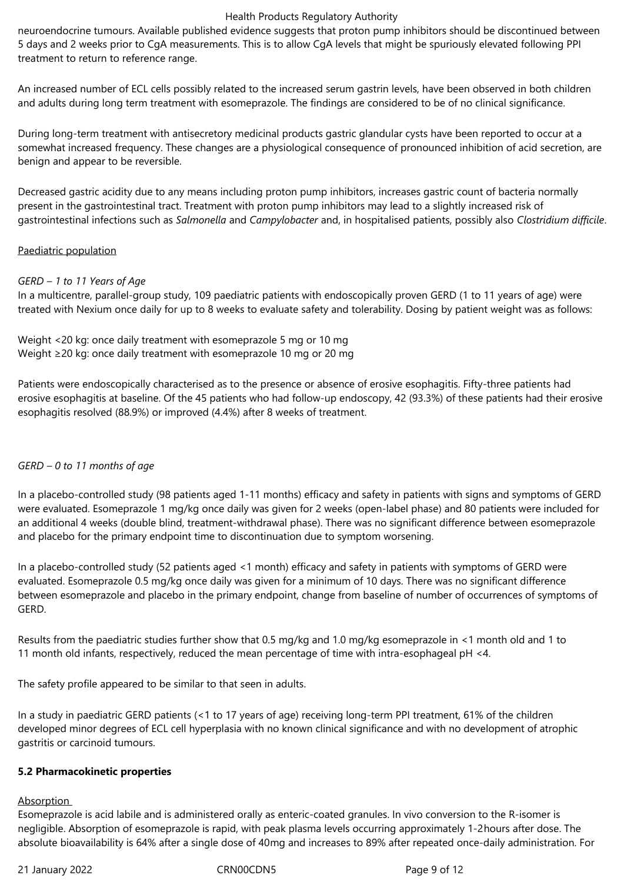neuroendocrine tumours. Available published evidence suggests that proton pump inhibitors should be discontinued between 5 days and 2 weeks prior to CgA measurements. This is to allow CgA levels that might be spuriously elevated following PPI treatment to return to reference range.

An increased number of ECL cells possibly related to the increased serum gastrin levels, have been observed in both children and adults during long term treatment with esomeprazole. The findings are considered to be of no clinical significance.

During long-term treatment with antisecretory medicinal products gastric glandular cysts have been reported to occur at a somewhat increased frequency. These changes are a physiological consequence of pronounced inhibition of acid secretion, are benign and appear to be reversible.

Decreased gastric acidity due to any means including proton pump inhibitors, increases gastric count of bacteria normally present in the gastrointestinal tract. Treatment with proton pump inhibitors may lead to a slightly increased risk of gastrointestinal infections such as *Salmonella* and *Campylobacter* and, in hospitalised patients, possibly also *Clostridium difficile*.

## Paediatric population

## *GERD – 1 to 11 Years of Age*

In a multicentre, parallel-group study, 109 paediatric patients with endoscopically proven GERD (1 to 11 years of age) were treated with Nexium once daily for up to 8 weeks to evaluate safety and tolerability. Dosing by patient weight was as follows:

Weight <20 kg: once daily treatment with esomeprazole 5 mg or 10 mg Weight ≥20 kg: once daily treatment with esomeprazole 10 mg or 20 mg

Patients were endoscopically characterised as to the presence or absence of erosive esophagitis. Fifty-three patients had erosive esophagitis at baseline. Of the 45 patients who had follow-up endoscopy, 42 (93.3%) of these patients had their erosive esophagitis resolved (88.9%) or improved (4.4%) after 8 weeks of treatment.

# *GERD – 0 to 11 months of age*

In a placebo-controlled study (98 patients aged 1-11 months) efficacy and safety in patients with signs and symptoms of GERD were evaluated. Esomeprazole 1 mg/kg once daily was given for 2 weeks (open-label phase) and 80 patients were included for an additional 4 weeks (double blind, treatment-withdrawal phase). There was no significant difference between esomeprazole and placebo for the primary endpoint time to discontinuation due to symptom worsening.

In a placebo-controlled study (52 patients aged <1 month) efficacy and safety in patients with symptoms of GERD were evaluated. Esomeprazole 0.5 mg/kg once daily was given for a minimum of 10 days. There was no significant difference between esomeprazole and placebo in the primary endpoint, change from baseline of number of occurrences of symptoms of GERD.

Results from the paediatric studies further show that 0.5 mg/kg and 1.0 mg/kg esomeprazole in <1 month old and 1 to 11 month old infants, respectively, reduced the mean percentage of time with intra-esophageal pH <4.

The safety profile appeared to be similar to that seen in adults.

In a study in paediatric GERD patients (<1 to 17 years of age) receiving long-term PPI treatment, 61% of the children developed minor degrees of ECL cell hyperplasia with no known clinical significance and with no development of atrophic gastritis or carcinoid tumours.

## **5.2 Pharmacokinetic properties**

#### Absorption

Esomeprazole is acid labile and is administered orally as enteric-coated granules. In vivo conversion to the R-isomer is negligible. Absorption of esomeprazole is rapid, with peak plasma levels occurring approximately 1-2hours after dose. The absolute bioavailability is 64% after a single dose of 40mg and increases to 89% after repeated once-daily administration. For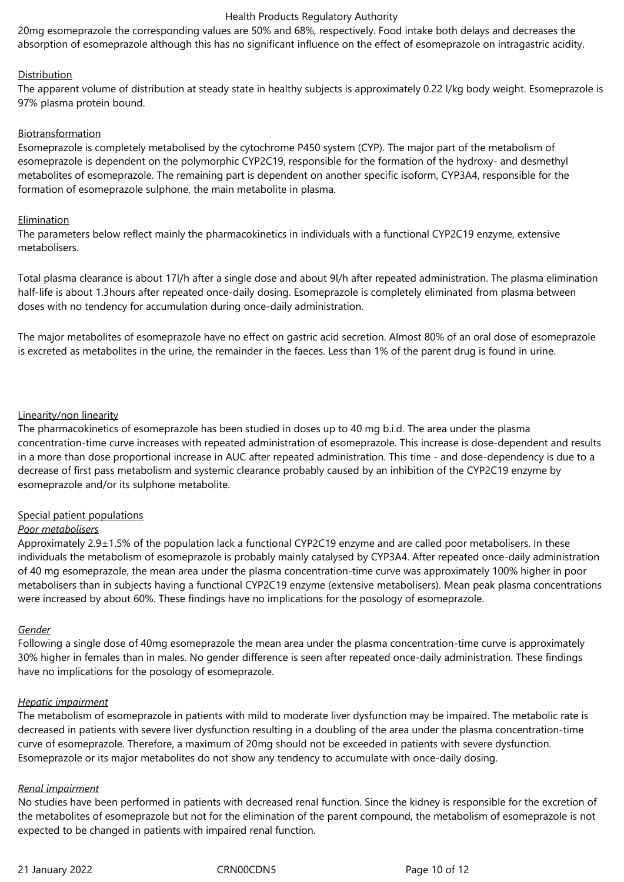20mg esomeprazole the corresponding values are 50% and 68%, respectively. Food intake both delays and decreases the absorption of esomeprazole although this has no significant influence on the effect of esomeprazole on intragastric acidity.

## **Distribution**

The apparent volume of distribution at steady state in healthy subjects is approximately 0.22 l/kg body weight. Esomeprazole is 97% plasma protein bound.

#### Biotransformation

Esomeprazole is completely metabolised by the cytochrome P450 system (CYP). The major part of the metabolism of esomeprazole is dependent on the polymorphic CYP2C19, responsible for the formation of the hydroxy- and desmethyl metabolites of esomeprazole. The remaining part is dependent on another specific isoform, CYP3A4, responsible for the formation of esomeprazole sulphone, the main metabolite in plasma.

#### **Elimination**

The parameters below reflect mainly the pharmacokinetics in individuals with a functional CYP2C19 enzyme, extensive metabolisers.

Total plasma clearance is about 17l/h after a single dose and about 9l/h after repeated administration. The plasma elimination half-life is about 1.3hours after repeated once-daily dosing. Esomeprazole is completely eliminated from plasma between doses with no tendency for accumulation during once-daily administration.

The major metabolites of esomeprazole have no effect on gastric acid secretion. Almost 80% of an oral dose of esomeprazole is excreted as metabolites in the urine, the remainder in the faeces. Less than 1% of the parent drug is found in urine.

## Linearity/non linearity

The pharmacokinetics of esomeprazole has been studied in doses up to 40 mg b.i.d. The area under the plasma concentration-time curve increases with repeated administration of esomeprazole. This increase is dose-dependent and results in a more than dose proportional increase in AUC after repeated administration. This time - and dose-dependency is due to a decrease of first pass metabolism and systemic clearance probably caused by an inhibition of the CYP2C19 enzyme by esomeprazole and/or its sulphone metabolite.

## Special patient populations

#### *Poor metabolisers*

Approximately 2.9±1.5% of the population lack a functional CYP2C19 enzyme and are called poor metabolisers. In these individuals the metabolism of esomeprazole is probably mainly catalysed by CYP3A4. After repeated once-daily administration of 40 mg esomeprazole, the mean area under the plasma concentration-time curve was approximately 100% higher in poor metabolisers than in subjects having a functional CYP2C19 enzyme (extensive metabolisers). Mean peak plasma concentrations were increased by about 60%. These findings have no implications for the posology of esomeprazole.

#### *Gender*

Following a single dose of 40mg esomeprazole the mean area under the plasma concentration-time curve is approximately 30% higher in females than in males. No gender difference is seen after repeated once-daily administration. These findings have no implications for the posology of esomeprazole.

## *Hepatic impairment*

The metabolism of esomeprazole in patients with mild to moderate liver dysfunction may be impaired. The metabolic rate is decreased in patients with severe liver dysfunction resulting in a doubling of the area under the plasma concentration-time curve of esomeprazole. Therefore, a maximum of 20mg should not be exceeded in patients with severe dysfunction. Esomeprazole or its major metabolites do not show any tendency to accumulate with once-daily dosing.

#### *Renal impairment*

No studies have been performed in patients with decreased renal function. Since the kidney is responsible for the excretion of the metabolites of esomeprazole but not for the elimination of the parent compound, the metabolism of esomeprazole is not expected to be changed in patients with impaired renal function.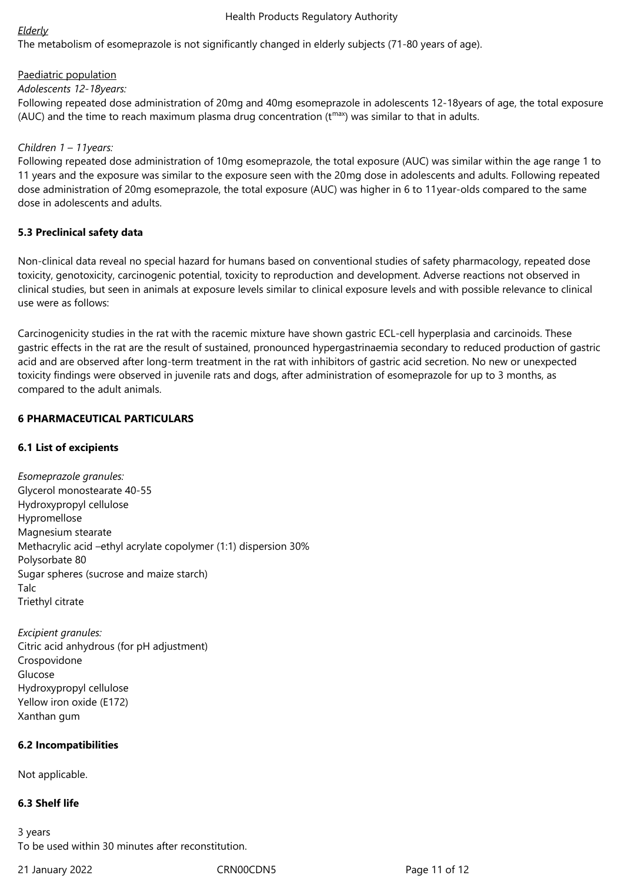## *Elderly*

The metabolism of esomeprazole is not significantly changed in elderly subjects (71-80 years of age).

# Paediatric population

*Adolescents 12-18years:* 

Following repeated dose administration of 20mg and 40mg esomeprazole in adolescents 12-18years of age, the total exposure (AUC) and the time to reach maximum plasma drug concentration ( $t^{max}$ ) was similar to that in adults.

## *Children 1 – 11years:*

Following repeated dose administration of 10mg esomeprazole, the total exposure (AUC) was similar within the age range 1 to 11 years and the exposure was similar to the exposure seen with the 20mg dose in adolescents and adults. Following repeated dose administration of 20mg esomeprazole, the total exposure (AUC) was higher in 6 to 11year-olds compared to the same dose in adolescents and adults.

## **5.3 Preclinical safety data**

Non-clinical data reveal no special hazard for humans based on conventional studies of safety pharmacology, repeated dose toxicity, genotoxicity, carcinogenic potential, toxicity to reproduction and development. Adverse reactions not observed in clinical studies, but seen in animals at exposure levels similar to clinical exposure levels and with possible relevance to clinical use were as follows:

Carcinogenicity studies in the rat with the racemic mixture have shown gastric ECL-cell hyperplasia and carcinoids. These gastric effects in the rat are the result of sustained, pronounced hypergastrinaemia secondary to reduced production of gastric acid and are observed after long-term treatment in the rat with inhibitors of gastric acid secretion. No new or unexpected toxicity findings were observed in juvenile rats and dogs, after administration of esomeprazole for up to 3 months, as compared to the adult animals.

# **6 PHARMACEUTICAL PARTICULARS**

# **6.1 List of excipients**

*Esomeprazole granules:* Glycerol monostearate 40-55 Hydroxypropyl cellulose Hypromellose Magnesium stearate Methacrylic acid –ethyl acrylate copolymer (1:1) dispersion 30% Polysorbate 80 Sugar spheres (sucrose and maize starch) Talc Triethyl citrate

*Excipient granules:* Citric acid anhydrous (for pH adjustment) Crospovidone Glucose Hydroxypropyl cellulose Yellow iron oxide (E172) Xanthan gum

# **6.2 Incompatibilities**

Not applicable.

# **6.3 Shelf life**

3 years To be used within 30 minutes after reconstitution.